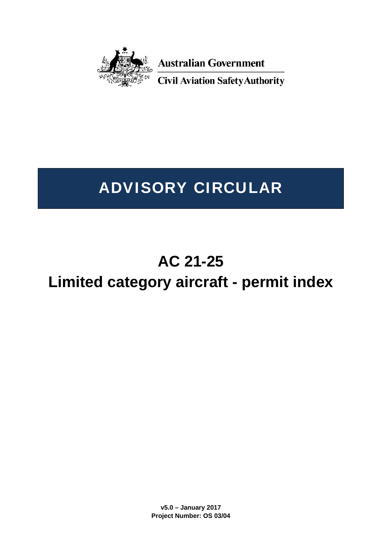

**Australian Government** 

**Civil Aviation Safety Authority** 

# ADVISORY CIRCULAR

# **AC 21-25 Limited category aircraft - permit index**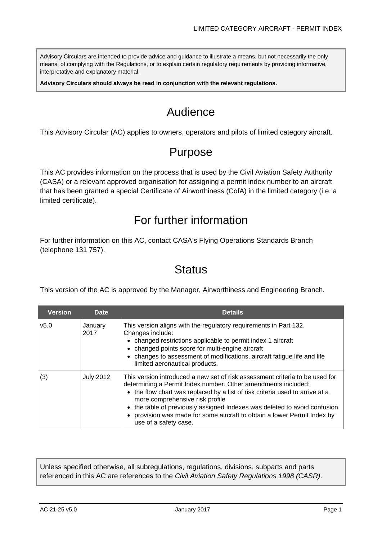Advisory Circulars are intended to provide advice and guidance to illustrate a means, but not necessarily the only means, of complying with the Regulations, or to explain certain regulatory requirements by providing informative, interpretative and explanatory material.

**Advisory Circulars should always be read in conjunction with the relevant regulations.** 

## Audience

This Advisory Circular (AC) applies to owners, operators and pilots of limited category aircraft.

## Purpose

This AC provides information on the process that is used by the Civil Aviation Safety Authority (CASA) or a relevant approved organisation for assigning a permit index number to an aircraft that has been granted a special Certificate of Airworthiness (CofA) in the limited category (i.e. a limited certificate).

## For further information

For further information on this AC, contact CASA's Flying Operations Standards Branch (telephone 131 757).

## **Status**

This version of the AC is approved by the Manager, Airworthiness and Engineering Branch.

| <b>Version</b> | <b>Date</b>      | <b>Details</b>                                                                                                                                                                                                                                                                                                                                                                                                                                     |
|----------------|------------------|----------------------------------------------------------------------------------------------------------------------------------------------------------------------------------------------------------------------------------------------------------------------------------------------------------------------------------------------------------------------------------------------------------------------------------------------------|
| v5.0           | January<br>2017  | This version aligns with the regulatory requirements in Part 132.<br>Changes include:<br>• changed restrictions applicable to permit index 1 aircraft<br>• changed points score for multi-engine aircraft<br>• changes to assessment of modifications, aircraft fatigue life and life<br>limited aeronautical products.                                                                                                                            |
| (3)            | <b>July 2012</b> | This version introduced a new set of risk assessment criteria to be used for<br>determining a Permit Index number. Other amendments included:<br>• the flow chart was replaced by a list of risk criteria used to arrive at a<br>more comprehensive risk profile<br>• the table of previously assigned Indexes was deleted to avoid confusion<br>• provision was made for some aircraft to obtain a lower Permit Index by<br>use of a safety case. |

Unless specified otherwise, all subregulations, regulations, divisions, subparts and parts referenced in this AC are references to the *Civil Aviation Safety Regulations 1998 (CASR)*.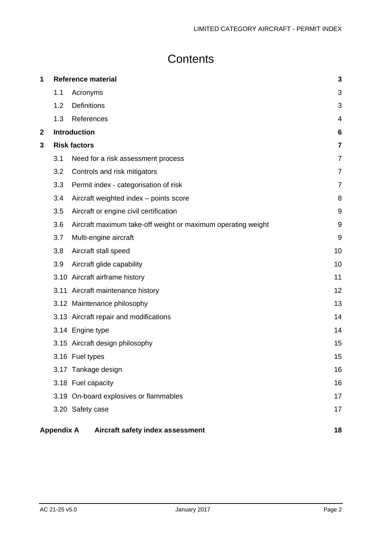## **Contents**

| 1 |                   | <b>Reference material</b>                                    | 3              |
|---|-------------------|--------------------------------------------------------------|----------------|
|   | 1.1               | Acronyms                                                     | 3              |
|   | 1.2               | <b>Definitions</b>                                           | 3              |
|   | 1.3               | References                                                   | 4              |
| 2 |                   | <b>Introduction</b>                                          | 6              |
| 3 |                   | <b>Risk factors</b>                                          | $\overline{7}$ |
|   | 3.1               | Need for a risk assessment process                           | $\overline{7}$ |
|   | 3.2               | Controls and risk mitigators                                 | $\overline{7}$ |
|   | 3.3               | Permit index - categorisation of risk                        | $\overline{7}$ |
|   | 3.4               | Aircraft weighted index - points score                       | 8              |
|   | 3.5               | Aircraft or engine civil certification                       | $9\,$          |
|   | 3.6               | Aircraft maximum take-off weight or maximum operating weight | 9              |
|   | 3.7               | Multi-engine aircraft                                        | 9              |
|   | 3.8               | Aircraft stall speed                                         | 10             |
|   | 3.9               | Aircraft glide capability                                    | 10             |
|   |                   | 3.10 Aircraft airframe history                               | 11             |
|   |                   | 3.11 Aircraft maintenance history                            | 12             |
|   |                   | 3.12 Maintenance philosophy                                  | 13             |
|   |                   | 3.13 Aircraft repair and modifications                       | 14             |
|   |                   | 3.14 Engine type                                             | 14             |
|   |                   | 3.15 Aircraft design philosophy                              | 15             |
|   |                   | 3.16 Fuel types                                              | 15             |
|   |                   | 3.17 Tankage design                                          | 16             |
|   |                   | 3.18 Fuel capacity                                           | 16             |
|   |                   | 3.19 On-board explosives or flammables                       | 17             |
|   |                   | 3.20 Safety case                                             | 17             |
|   | <b>Appendix A</b> | Aircraft safety index assessment                             | 18             |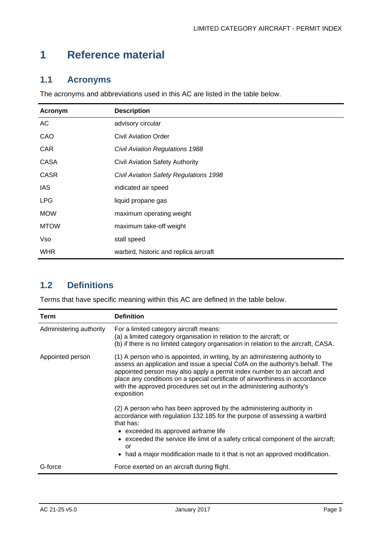## **1 Reference material**

## **1.1 Acronyms**

The acronyms and abbreviations used in this AC are listed in the table below.

| Acronym     | <b>Description</b>                     |
|-------------|----------------------------------------|
| AC          | advisory circular                      |
| CAO         | <b>Civil Aviation Order</b>            |
| <b>CAR</b>  | <b>Civil Aviation Regulations 1988</b> |
| <b>CASA</b> | <b>Civil Aviation Safety Authority</b> |
| <b>CASR</b> | Civil Aviation Safety Regulations 1998 |
| <b>IAS</b>  | indicated air speed                    |
| <b>LPG</b>  | liquid propane gas                     |
| <b>MOW</b>  | maximum operating weight               |
| <b>MTOW</b> | maximum take-off weight                |
| <b>Vso</b>  | stall speed                            |
| <b>WHR</b>  | warbird, historic and replica aircraft |

## **1.2 Definitions**

Terms that have specific meaning within this AC are defined in the table below.

| <b>Term</b>             | <b>Definition</b>                                                                                                                                                                                                                                                                                                                                                                                               |
|-------------------------|-----------------------------------------------------------------------------------------------------------------------------------------------------------------------------------------------------------------------------------------------------------------------------------------------------------------------------------------------------------------------------------------------------------------|
| Administering authority | For a limited category aircraft means:<br>(a) a limited category organisation in relation to the aircraft; or<br>(b) if there is no limited category organisation in relation to the aircraft, CASA.                                                                                                                                                                                                            |
| Appointed person        | (1) A person who is appointed, in writing, by an administering authority to<br>assess an application and issue a special CofA on the authority's behalf. The<br>appointed person may also apply a permit index number to an aircraft and<br>place any conditions on a special certificate of airworthiness in accordance<br>with the approved procedures set out in the administering authority's<br>exposition |
|                         | (2) A person who has been approved by the administering authority in<br>accordance with regulation 132.185 for the purpose of assessing a warbird<br>that has:<br>• exceeded its approved airframe life<br>• exceeded the service life limit of a safety critical component of the aircraft;<br>or<br>• had a major modification made to it that is not an approved modification.                               |
| G-force                 | Force exerted on an aircraft during flight.                                                                                                                                                                                                                                                                                                                                                                     |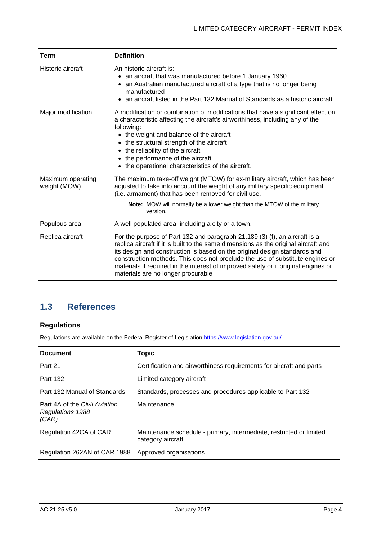| Term                              | <b>Definition</b>                                                                                                                                                                                                                                                                                                                                                                                                                                           |
|-----------------------------------|-------------------------------------------------------------------------------------------------------------------------------------------------------------------------------------------------------------------------------------------------------------------------------------------------------------------------------------------------------------------------------------------------------------------------------------------------------------|
| Historic aircraft                 | An historic aircraft is:<br>• an aircraft that was manufactured before 1 January 1960<br>• an Australian manufactured aircraft of a type that is no longer being<br>manufactured<br>• an aircraft listed in the Part 132 Manual of Standards as a historic aircraft                                                                                                                                                                                         |
| Major modification                | A modification or combination of modifications that have a significant effect on<br>a characteristic affecting the aircraft's airworthiness, including any of the<br>following:<br>• the weight and balance of the aircraft<br>• the structural strength of the aircraft<br>• the reliability of the aircraft<br>• the performance of the aircraft<br>• the operational characteristics of the aircraft.                                                    |
| Maximum operating<br>weight (MOW) | The maximum take-off weight (MTOW) for ex-military aircraft, which has been<br>adjusted to take into account the weight of any military specific equipment<br>(i.e. armament) that has been removed for civil use.                                                                                                                                                                                                                                          |
|                                   | Note: MOW will normally be a lower weight than the MTOW of the military<br>version.                                                                                                                                                                                                                                                                                                                                                                         |
| Populous area                     | A well populated area, including a city or a town.                                                                                                                                                                                                                                                                                                                                                                                                          |
| Replica aircraft                  | For the purpose of Part 132 and paragraph 21.189 (3) (f), an aircraft is a<br>replica aircraft if it is built to the same dimensions as the original aircraft and<br>its design and construction is based on the original design standards and<br>construction methods. This does not preclude the use of substitute engines or<br>materials if required in the interest of improved safety or if original engines or<br>materials are no longer procurable |

## **1.3 References**

### **Regulations**

Regulations are available on the Federal Register of Legislation https://www.legislation.gov.au/

| <b>Document</b>                                            | <b>Topic</b>                                                                             |
|------------------------------------------------------------|------------------------------------------------------------------------------------------|
| Part 21                                                    | Certification and airworthiness requirements for aircraft and parts                      |
| Part 132                                                   | Limited category aircraft                                                                |
| Part 132 Manual of Standards                               | Standards, processes and procedures applicable to Part 132                               |
| Part 4A of the Civil Aviation<br>Regulations 1988<br>(CAR) | Maintenance                                                                              |
| Regulation 42CA of CAR                                     | Maintenance schedule - primary, intermediate, restricted or limited<br>category aircraft |
| Regulation 262AN of CAR 1988                               | Approved organisations                                                                   |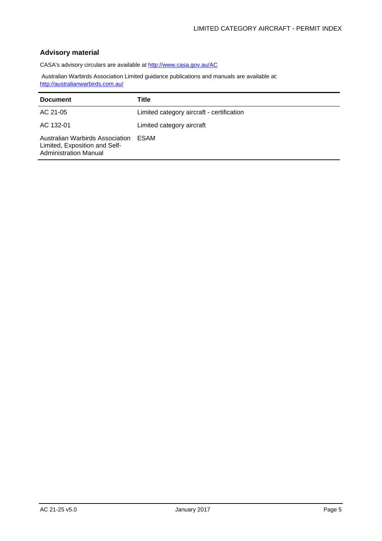#### **Advisory material**

CASA's advisory circulars are available at http://www.casa.gov.au/AC

 Australian Warbirds Association Limited guidance publications and manuals are available at: http://australianwarbirds.com.au/

| <b>Document</b>                                                                                  | Title                                     |
|--------------------------------------------------------------------------------------------------|-------------------------------------------|
| AC 21-05                                                                                         | Limited category aircraft - certification |
| AC 132-01                                                                                        | Limited category aircraft                 |
| Australian Warbirds Association<br>Limited, Exposition and Self-<br><b>Administration Manual</b> | FSAM                                      |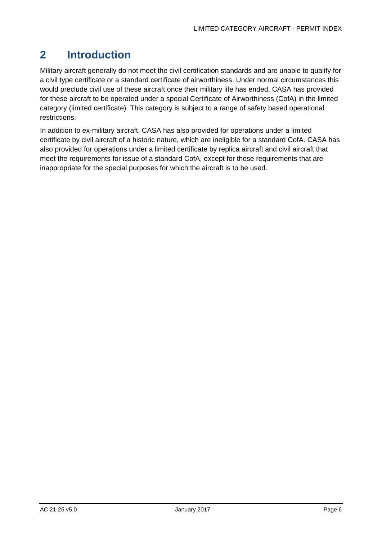## **2 Introduction**

Military aircraft generally do not meet the civil certification standards and are unable to qualify for a civil type certificate or a standard certificate of airworthiness. Under normal circumstances this would preclude civil use of these aircraft once their military life has ended. CASA has provided for these aircraft to be operated under a special Certificate of Airworthiness (CofA) in the limited category (limited certificate). This category is subject to a range of safety based operational restrictions.

In addition to ex-military aircraft, CASA has also provided for operations under a limited certificate by civil aircraft of a historic nature, which are ineligible for a standard CofA. CASA has also provided for operations under a limited certificate by replica aircraft and civil aircraft that meet the requirements for issue of a standard CofA, except for those requirements that are inappropriate for the special purposes for which the aircraft is to be used.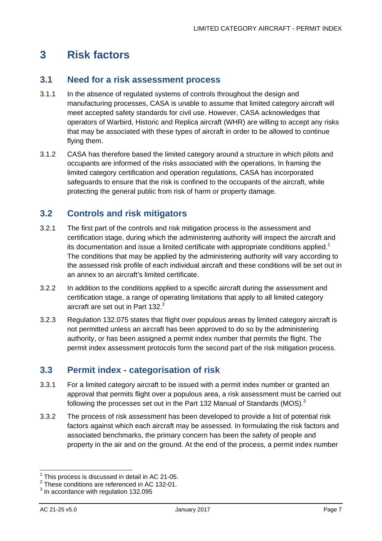## **3 Risk factors**

### **3.1 Need for a risk assessment process**

- 3.1.1 In the absence of regulated systems of controls throughout the design and manufacturing processes, CASA is unable to assume that limited category aircraft will meet accepted safety standards for civil use. However, CASA acknowledges that operators of Warbird, Historic and Replica aircraft (WHR) are willing to accept any risks that may be associated with these types of aircraft in order to be allowed to continue flying them.
- 3.1.2 CASA has therefore based the limited category around a structure in which pilots and occupants are informed of the risks associated with the operations. In framing the limited category certification and operation regulations, CASA has incorporated safeguards to ensure that the risk is confined to the occupants of the aircraft, while protecting the general public from risk of harm or property damage.

## **3.2 Controls and risk mitigators**

- 3.2.1 The first part of the controls and risk mitigation process is the assessment and certification stage, during which the administering authority will inspect the aircraft and its documentation and issue a limited certificate with appropriate conditions applied.<sup>1</sup> The conditions that may be applied by the administering authority will vary according to the assessed risk profile of each individual aircraft and these conditions will be set out in an annex to an aircraft's limited certificate.
- 3.2.2 In addition to the conditions applied to a specific aircraft during the assessment and certification stage, a range of operating limitations that apply to all limited category aircraft are set out in Part 132. $2$
- 3.2.3 Regulation 132.075 states that flight over populous areas by limited category aircraft is not permitted unless an aircraft has been approved to do so by the administering authority, or has been assigned a permit index number that permits the flight. The permit index assessment protocols form the second part of the risk mitigation process.

## **3.3 Permit index - categorisation of risk**

- 3.3.1 For a limited category aircraft to be issued with a permit index number or granted an approval that permits flight over a populous area, a risk assessment must be carried out following the processes set out in the Part 132 Manual of Standards ( $MOS$ ).<sup>3</sup>
- 3.3.2 The process of risk assessment has been developed to provide a list of potential risk factors against which each aircraft may be assessed. In formulating the risk factors and associated benchmarks, the primary concern has been the safety of people and property in the air and on the ground. At the end of the process, a permit index number

l

 $1$  This process is discussed in detail in AC 21-05.

 $2^2$  These conditions are referenced in AC 132-01.

 $3$  In accordance with regulation 132.095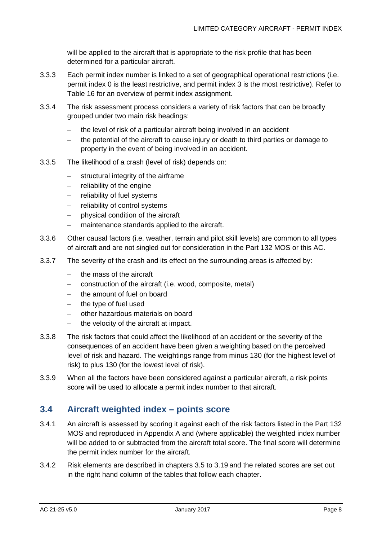will be applied to the aircraft that is appropriate to the risk profile that has been determined for a particular aircraft.

- 3.3.3 Each permit index number is linked to a set of geographical operational restrictions (i.e. permit index 0 is the least restrictive, and permit index 3 is the most restrictive). Refer to Table 16 for an overview of permit index assignment.
- 3.3.4 The risk assessment process considers a variety of risk factors that can be broadly grouped under two main risk headings:
	- the level of risk of a particular aircraft being involved in an accident
	- the potential of the aircraft to cause injury or death to third parties or damage to property in the event of being involved in an accident.
- 3.3.5 The likelihood of a crash (level of risk) depends on:
	- $-$  structural integrity of the airframe
	- $-$  reliability of the engine
	- reliability of fuel systems
	- $-$  reliability of control systems
	- physical condition of the aircraft
	- maintenance standards applied to the aircraft.
- 3.3.6 Other causal factors (i.e. weather, terrain and pilot skill levels) are common to all types of aircraft and are not singled out for consideration in the Part 132 MOS or this AC.
- 3.3.7 The severity of the crash and its effect on the surrounding areas is affected by:
	- the mass of the aircraft
	- construction of the aircraft (i.e. wood, composite, metal)
	- the amount of fuel on board
	- $-$  the type of fuel used
	- other hazardous materials on board
	- the velocity of the aircraft at impact.
- 3.3.8 The risk factors that could affect the likelihood of an accident or the severity of the consequences of an accident have been given a weighting based on the perceived level of risk and hazard. The weightings range from minus 130 (for the highest level of risk) to plus 130 (for the lowest level of risk).
- 3.3.9 When all the factors have been considered against a particular aircraft, a risk points score will be used to allocate a permit index number to that aircraft.

## **3.4 Aircraft weighted index – points score**

- 3.4.1 An aircraft is assessed by scoring it against each of the risk factors listed in the Part 132 MOS and reproduced in Appendix A and (where applicable) the weighted index number will be added to or subtracted from the aircraft total score. The final score will determine the permit index number for the aircraft.
- 3.4.2 Risk elements are described in chapters 3.5 to 3.19 and the related scores are set out in the right hand column of the tables that follow each chapter.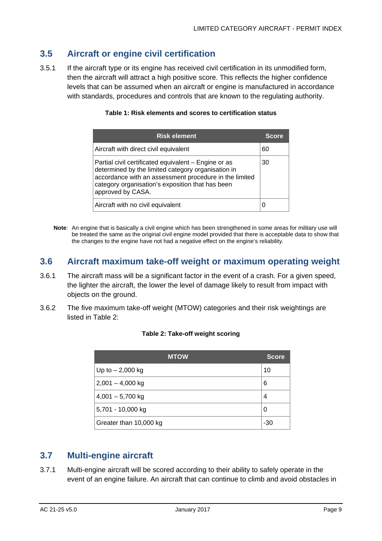## **3.5 Aircraft or engine civil certification**

3.5.1 If the aircraft type or its engine has received civil certification in its unmodified form, then the aircraft will attract a high positive score. This reflects the higher confidence levels that can be assumed when an aircraft or engine is manufactured in accordance with standards, procedures and controls that are known to the regulating authority.

| <b>Risk element</b>                                                                                                                                                                                                                           | Score |
|-----------------------------------------------------------------------------------------------------------------------------------------------------------------------------------------------------------------------------------------------|-------|
| Aircraft with direct civil equivalent                                                                                                                                                                                                         | 60    |
| Partial civil certificated equivalent – Engine or as<br>determined by the limited category organisation in<br>accordance with an assessment procedure in the limited<br>category organisation's exposition that has been<br>approved by CASA. | 30    |
| Aircraft with no civil equivalent                                                                                                                                                                                                             |       |

#### **Table 1: Risk elements and scores to certification status**

**Note**: An engine that is basically a civil engine which has been strengthened in some areas for military use will be treated the same as the original civil engine model provided that there is acceptable data to show that the changes to the engine have not had a negative effect on the engine's reliability.

## **3.6 Aircraft maximum take-off weight or maximum operating weight**

- 3.6.1 The aircraft mass will be a significant factor in the event of a crash. For a given speed, the lighter the aircraft, the lower the level of damage likely to result from impact with objects on the ground.
- 3.6.2 The five maximum take-off weight (MTOW) categories and their risk weightings are listed in Table 2:

| <b>MTOW</b>            | <b>Score</b> |
|------------------------|--------------|
| Up to $- 2,000$ kg     | 10           |
| $2,001 - 4,000$ kg     | 6            |
| $4,001 - 5,700$ kg     | 4            |
| 5,701 - 10,000 kg      | O            |
| Greater than 10,000 kg | -30          |

#### **Table 2: Take-off weight scoring**

## **3.7 Multi-engine aircraft**

3.7.1 Multi-engine aircraft will be scored according to their ability to safely operate in the event of an engine failure. An aircraft that can continue to climb and avoid obstacles in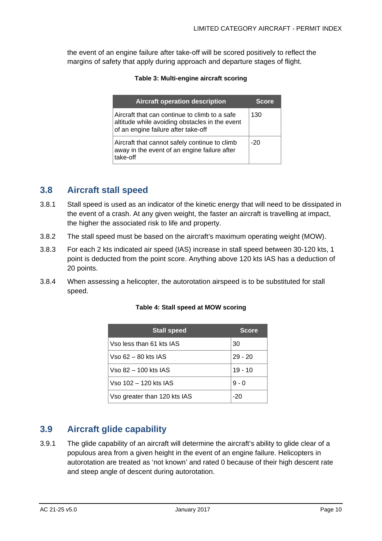the event of an engine failure after take-off will be scored positively to reflect the margins of safety that apply during approach and departure stages of flight.

|  | Table 3: Multi-engine aircraft scoring |  |  |
|--|----------------------------------------|--|--|
|--|----------------------------------------|--|--|

| <b>Aircraft operation description</b>                                                                                                  | Score |
|----------------------------------------------------------------------------------------------------------------------------------------|-------|
| Aircraft that can continue to climb to a safe<br>altitude while avoiding obstacles in the event<br>of an engine failure after take-off | 130   |
| Aircraft that cannot safely continue to climb<br>away in the event of an engine failure after<br>take-off                              | -20   |

## **3.8 Aircraft stall speed**

- 3.8.1 Stall speed is used as an indicator of the kinetic energy that will need to be dissipated in the event of a crash. At any given weight, the faster an aircraft is travelling at impact, the higher the associated risk to life and property.
- 3.8.2 The stall speed must be based on the aircraft's maximum operating weight (MOW).
- 3.8.3 For each 2 kts indicated air speed (IAS) increase in stall speed between 30-120 kts, 1 point is deducted from the point score. Anything above 120 kts IAS has a deduction of 20 points.
- 3.8.4 When assessing a helicopter, the autorotation airspeed is to be substituted for stall speed.

| <b>Stall speed</b>           | <b>Score</b> |
|------------------------------|--------------|
| Vso less than 61 kts IAS     | 30           |
| Vso 62 – 80 kts IAS          | $29 - 20$    |
| Vso 82 - 100 kts IAS         | $19 - 10$    |
| Vso 102 – 120 kts IAS        | $9 - 0$      |
| Vso greater than 120 kts IAS | -20          |

#### **Table 4: Stall speed at MOW scoring**

## **3.9 Aircraft glide capability**

3.9.1 The glide capability of an aircraft will determine the aircraft's ability to glide clear of a populous area from a given height in the event of an engine failure. Helicopters in autorotation are treated as 'not known' and rated 0 because of their high descent rate and steep angle of descent during autorotation.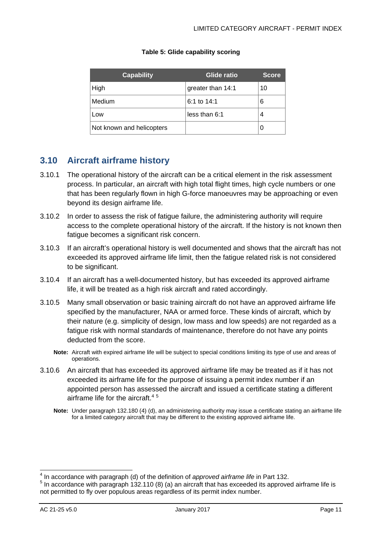| <b>Capability</b>         | Glide ratio       | <b>Score</b> |
|---------------------------|-------------------|--------------|
| High                      | greater than 14:1 | 10           |
| Medium                    | 6:1 to $14:1$     | 6            |
| Low                       | less than 6:1     |              |
| Not known and helicopters |                   |              |

#### **Table 5: Glide capability scoring**

## **3.10 Aircraft airframe history**

- 3.10.1 The operational history of the aircraft can be a critical element in the risk assessment process. In particular, an aircraft with high total flight times, high cycle numbers or one that has been regularly flown in high G-force manoeuvres may be approaching or even beyond its design airframe life.
- 3.10.2 In order to assess the risk of fatigue failure, the administering authority will require access to the complete operational history of the aircraft. If the history is not known then fatigue becomes a significant risk concern.
- 3.10.3 If an aircraft's operational history is well documented and shows that the aircraft has not exceeded its approved airframe life limit, then the fatigue related risk is not considered to be significant.
- 3.10.4 If an aircraft has a well-documented history, but has exceeded its approved airframe life, it will be treated as a high risk aircraft and rated accordingly.
- 3.10.5 Many small observation or basic training aircraft do not have an approved airframe life specified by the manufacturer, NAA or armed force. These kinds of aircraft, which by their nature (e.g. simplicity of design, low mass and low speeds) are not regarded as a fatigue risk with normal standards of maintenance, therefore do not have any points deducted from the score.
	- **Note:** Aircraft with expired airframe life will be subject to special conditions limiting its type of use and areas of operations.
- 3.10.6 An aircraft that has exceeded its approved airframe life may be treated as if it has not exceeded its airframe life for the purpose of issuing a permit index number if an appointed person has assessed the aircraft and issued a certificate stating a different airframe life for the aircraft.<sup>45</sup>
	- **Note:** Under paragraph 132.180 (4) (d), an administering authority may issue a certificate stating an airframe life for a limited category aircraft that may be different to the existing approved airframe life.

 4 In accordance with paragraph (d) of the definition of *approved airframe life* in Part 132.

 $5$  In accordance with paragraph 132.110 (8) (a) an aircraft that has exceeded its approved airframe life is not permitted to fly over populous areas regardless of its permit index number.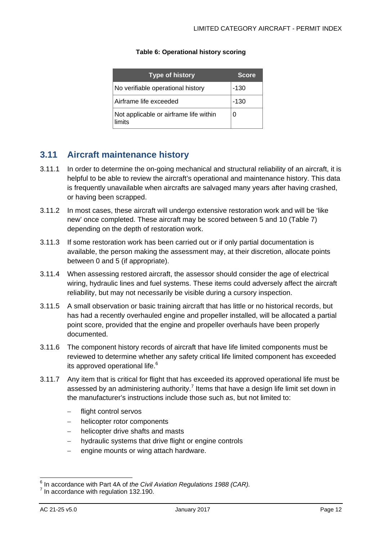#### **Table 6: Operational history scoring**

| <b>Type of history</b>                           | <b>Score</b> |
|--------------------------------------------------|--------------|
| No verifiable operational history                | $-130$       |
| Airframe life exceeded                           | -130         |
| Not applicable or airframe life within<br>limits | 0            |

## **3.11 Aircraft maintenance history**

- 3.11.1 In order to determine the on-going mechanical and structural reliability of an aircraft, it is helpful to be able to review the aircraft's operational and maintenance history. This data is frequently unavailable when aircrafts are salvaged many years after having crashed, or having been scrapped.
- 3.11.2 In most cases, these aircraft will undergo extensive restoration work and will be 'like new' once completed. These aircraft may be scored between 5 and 10 (Table 7) depending on the depth of restoration work.
- 3.11.3 If some restoration work has been carried out or if only partial documentation is available, the person making the assessment may, at their discretion, allocate points between 0 and 5 (if appropriate).
- 3.11.4 When assessing restored aircraft, the assessor should consider the age of electrical wiring, hydraulic lines and fuel systems. These items could adversely affect the aircraft reliability, but may not necessarily be visible during a cursory inspection.
- 3.11.5 A small observation or basic training aircraft that has little or no historical records, but has had a recently overhauled engine and propeller installed, will be allocated a partial point score, provided that the engine and propeller overhauls have been properly documented.
- 3.11.6 The component history records of aircraft that have life limited components must be reviewed to determine whether any safety critical life limited component has exceeded its approved operational life.<sup>6</sup>
- 3.11.7 Any item that is critical for flight that has exceeded its approved operational life must be assessed by an administering authority.<sup>7</sup> Items that have a design life limit set down in the manufacturer's instructions include those such as, but not limited to:
	- flight control servos
	- helicopter rotor components
	- helicopter drive shafts and masts
	- hydraulic systems that drive flight or engine controls
	- $-$  engine mounts or wing attach hardware.

<sup>&</sup>lt;sup>6</sup> In accordance with Part 4A of *the Civil Aviation Regulations 1988 (CAR).*<br><sup>7</sup> In accordance with regulation 133,199

 $<sup>7</sup>$  In accordance with regulation 132.190.</sup>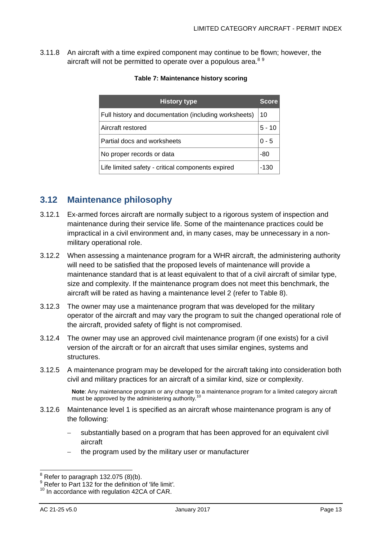3.11.8 An aircraft with a time expired component may continue to be flown; however, the aircraft will not be permitted to operate over a populous area.<sup>89</sup>

| <b>History type</b>                                   | Score.   |
|-------------------------------------------------------|----------|
| Full history and documentation (including worksheets) | 10       |
| Aircraft restored                                     | $5 - 10$ |
| Partial docs and worksheets                           | $0 - 5$  |
| No proper records or data                             | -80      |
| Life limited safety - critical components expired     | $-130$   |

#### **Table 7: Maintenance history scoring**

## **3.12 Maintenance philosophy**

- 3.12.1 Ex-armed forces aircraft are normally subject to a rigorous system of inspection and maintenance during their service life. Some of the maintenance practices could be impractical in a civil environment and, in many cases, may be unnecessary in a nonmilitary operational role.
- 3.12.2 When assessing a maintenance program for a WHR aircraft, the administering authority will need to be satisfied that the proposed levels of maintenance will provide a maintenance standard that is at least equivalent to that of a civil aircraft of similar type, size and complexity. If the maintenance program does not meet this benchmark, the aircraft will be rated as having a maintenance level 2 (refer to Table 8).
- 3.12.3 The owner may use a maintenance program that was developed for the military operator of the aircraft and may vary the program to suit the changed operational role of the aircraft, provided safety of flight is not compromised.
- 3.12.4 The owner may use an approved civil maintenance program (if one exists) for a civil version of the aircraft or for an aircraft that uses similar engines, systems and structures.
- 3.12.5 A maintenance program may be developed for the aircraft taking into consideration both civil and military practices for an aircraft of a similar kind, size or complexity.

 **Note**: Any maintenance program or any change to a maintenance program for a limited category aircraft must be approved by the administering authority*.* 10

- 3.12.6 Maintenance level 1 is specified as an aircraft whose maintenance program is any of the following:
	- substantially based on a program that has been approved for an equivalent civil aircraft
	- the program used by the military user or manufacturer

<sup>&</sup>lt;sup>8</sup> Refer to paragraph 132.075 (8)(b).<br><sup>9</sup> Refer to Part 132 for the definition of 'life limit'.<br><sup>10</sup> In accordance with regulation 42CA of CAR.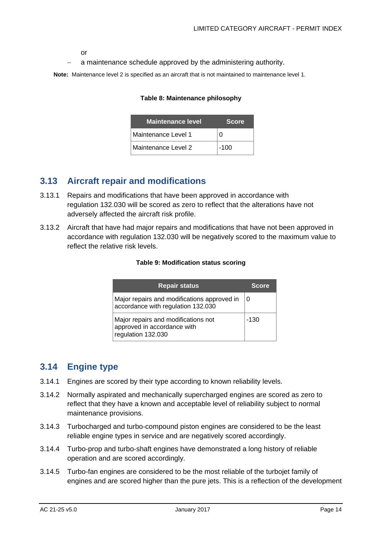or

- a maintenance schedule approved by the administering authority.

**Note:** Maintenance level 2 is specified as an aircraft that is not maintained to maintenance level 1.

#### **Table 8: Maintenance philosophy**

| <b>Maintenance level</b> | <b>Score</b> |
|--------------------------|--------------|
| Maintenance Level 1      |              |
| Maintenance Level 2      | -100         |

## **3.13 Aircraft repair and modifications**

- 3.13.1 Repairs and modifications that have been approved in accordance with regulation 132.030 will be scored as zero to reflect that the alterations have not adversely affected the aircraft risk profile.
- 3.13.2 Aircraft that have had major repairs and modifications that have not been approved in accordance with regulation 132.030 will be negatively scored to the maximum value to reflect the relative risk levels.

| <b>Repair status</b>                                                                     | <b>Score</b> |
|------------------------------------------------------------------------------------------|--------------|
| Major repairs and modifications approved in<br>accordance with regulation 132.030        | ۱O           |
| Major repairs and modifications not<br>approved in accordance with<br>regulation 132.030 | $-130$       |

#### **Table 9: Modification status scoring**

### **3.14 Engine type**

- 3.14.1 Engines are scored by their type according to known reliability levels.
- 3.14.2 Normally aspirated and mechanically supercharged engines are scored as zero to reflect that they have a known and acceptable level of reliability subject to normal maintenance provisions.
- 3.14.3 Turbocharged and turbo-compound piston engines are considered to be the least reliable engine types in service and are negatively scored accordingly.
- 3.14.4 Turbo-prop and turbo-shaft engines have demonstrated a long history of reliable operation and are scored accordingly.
- 3.14.5 Turbo-fan engines are considered to be the most reliable of the turbojet family of engines and are scored higher than the pure jets. This is a reflection of the development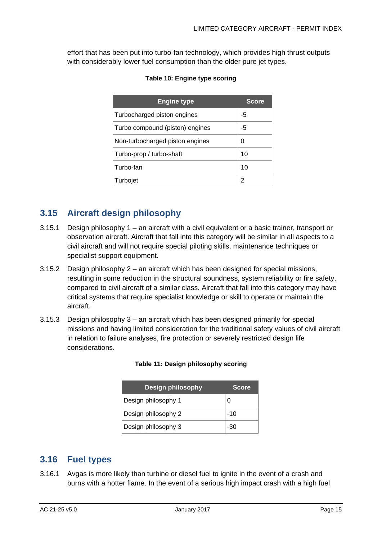effort that has been put into turbo-fan technology, which provides high thrust outputs with considerably lower fuel consumption than the older pure jet types.

| <b>Engine type</b>              | <b>Score</b> |
|---------------------------------|--------------|
| Turbocharged piston engines     | -5           |
| Turbo compound (piston) engines | -5           |
| Non-turbocharged piston engines | 0            |
| Turbo-prop / turbo-shaft        | 10           |
| Turbo-fan                       | 10           |
| Turbojet                        | 2            |

#### **Table 10: Engine type scoring**

## **3.15 Aircraft design philosophy**

- 3.15.1 Design philosophy 1 an aircraft with a civil equivalent or a basic trainer, transport or observation aircraft. Aircraft that fall into this category will be similar in all aspects to a civil aircraft and will not require special piloting skills, maintenance techniques or specialist support equipment.
- 3.15.2 Design philosophy 2 an aircraft which has been designed for special missions, resulting in some reduction in the structural soundness, system reliability or fire safety, compared to civil aircraft of a similar class. Aircraft that fall into this category may have critical systems that require specialist knowledge or skill to operate or maintain the aircraft.
- 3.15.3 Design philosophy 3 an aircraft which has been designed primarily for special missions and having limited consideration for the traditional safety values of civil aircraft in relation to failure analyses, fire protection or severely restricted design life considerations.

| <b>Design philosophy</b> | <b>Score</b> |
|--------------------------|--------------|
| Design philosophy 1      | 0            |
| Design philosophy 2      | -10          |
| Design philosophy 3      | -30          |

#### **Table 11: Design philosophy scoring**

## **3.16 Fuel types**

3.16.1 Avgas is more likely than turbine or diesel fuel to ignite in the event of a crash and burns with a hotter flame. In the event of a serious high impact crash with a high fuel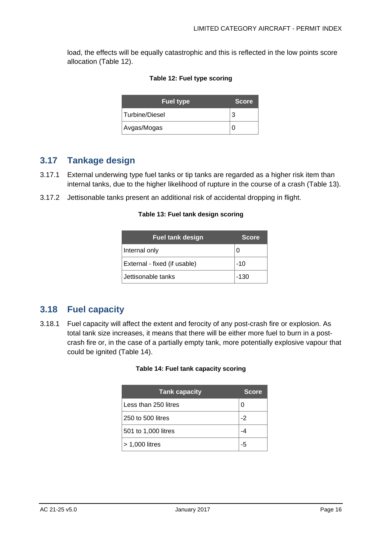load, the effects will be equally catastrophic and this is reflected in the low points score allocation (Table 12).

|  | Table 12: Fuel type scoring |
|--|-----------------------------|
|--|-----------------------------|

| <b>Fuel type</b> | <b>Score</b> |
|------------------|--------------|
| Turbine/Diesel   |              |
| Avgas/Mogas      |              |

### **3.17 Tankage design**

- 3.17.1 External underwing type fuel tanks or tip tanks are regarded as a higher risk item than internal tanks, due to the higher likelihood of rupture in the course of a crash (Table 13).
- 3.17.2 Jettisonable tanks present an additional risk of accidental dropping in flight.

#### **Table 13: Fuel tank design scoring**

| <b>Fuel tank design</b>      | <b>Score</b> |
|------------------------------|--------------|
| Internal only                |              |
| External - fixed (if usable) | $-10$        |
| Jettisonable tanks           | $-130$       |

### **3.18 Fuel capacity**

3.18.1 Fuel capacity will affect the extent and ferocity of any post-crash fire or explosion. As total tank size increases, it means that there will be either more fuel to burn in a postcrash fire or, in the case of a partially empty tank, more potentially explosive vapour that could be ignited (Table 14).

#### **Table 14: Fuel tank capacity scoring**

| <b>Tank capacity</b> | <b>Score</b> |
|----------------------|--------------|
| Less than 250 litres |              |
| 250 to 500 litres    | -2           |
| 501 to 1,000 litres  |              |
| > 1,000 litres       | -5           |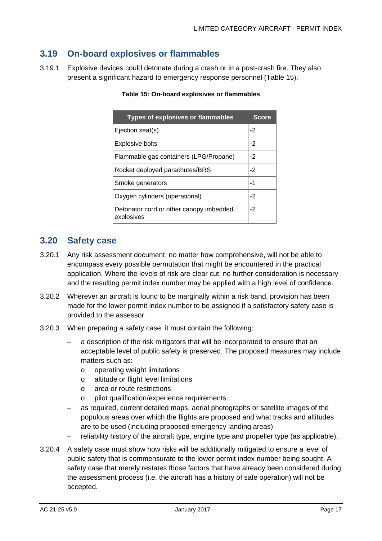## **3.19 On-board explosives or flammables**

3.19.1 Explosive devices could detonate during a crash or in a post-crash fire. They also present a significant hazard to emergency response personnel (Table 15).

| <b>Types of explosives or flammables</b>              | <b>Score</b> |
|-------------------------------------------------------|--------------|
| Ejection seat(s)                                      | $-2$         |
| <b>Explosive bolts</b>                                | $-2$         |
| Flammable gas containers (LPG/Propane)                | $-2$         |
| Rocket deployed parachutes/BRS                        | $-2$         |
| Smoke generators                                      | -1           |
| Oxygen cylinders (operational)                        | $-2$         |
| Detonator cord or other canopy imbedded<br>explosives | $-2$         |

**Table 15: On-board explosives or flammables** 

## **3.20 Safety case**

- 3.20.1 Any risk assessment document, no matter how comprehensive, will not be able to encompass every possible permutation that might be encountered in the practical application. Where the levels of risk are clear cut, no further consideration is necessary and the resulting permit index number may be applied with a high level of confidence.
- 3.20.2 Wherever an aircraft is found to be marginally within a risk band, provision has been made for the lower permit index number to be assigned if a satisfactory safety case is provided to the assessor.
- 3.20.3 When preparing a safety case, it must contain the following:
	- a description of the risk mitigators that will be incorporated to ensure that an acceptable level of public safety is preserved. The proposed measures may include matters such as:
		- o operating weight limitations
		- o altitude or flight level limitations
		- o area or route restrictions
		- o pilot qualification/experience requirements.
	- as required, current detailed maps, aerial photographs or satellite images of the populous areas over which the flights are proposed and what tracks and altitudes are to be used (including proposed emergency landing areas)
	- reliability history of the aircraft type, engine type and propeller type (as applicable).
- 3.20.4 A safety case must show how risks will be additionally mitigated to ensure a level of public safety that is commensurate to the lower permit index number being sought. A safety case that merely restates those factors that have already been considered during the assessment process (i.e. the aircraft has a history of safe operation) will not be accepted.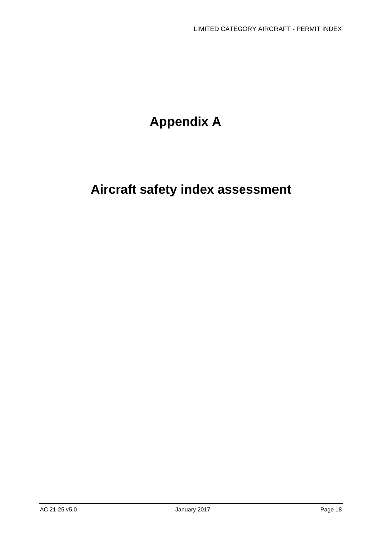## **App pendix x A**

## **Aircraft safety index assessment**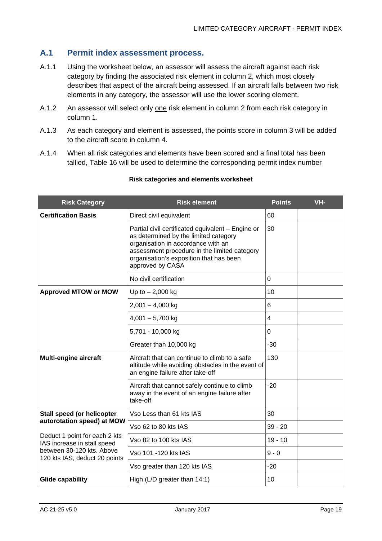### **A.1 Permit index assessment process.**

- A.1.1 Using the worksheet below, an assessor will assess the aircraft against each risk category by finding the associated risk element in column 2, which most closely describes that aspect of the aircraft being assessed. If an aircraft falls between two risk elements in any category, the assessor will use the lower scoring element.
- A.1.2 An assessor will select only one risk element in column 2 from each risk category in column 1.
- A.1.3 As each category and element is assessed, the points score in column 3 will be added to the aircraft score in column 4.
- A.1.4 When all risk categories and elements have been scored and a final total has been tallied, Table 16 will be used to determine the corresponding permit index number

| <b>Risk Category</b>                                                                                                       | <b>Risk element</b>                                                                                                                                                                                                                             | <b>Points</b>  | VH- |
|----------------------------------------------------------------------------------------------------------------------------|-------------------------------------------------------------------------------------------------------------------------------------------------------------------------------------------------------------------------------------------------|----------------|-----|
| <b>Certification Basis</b>                                                                                                 | Direct civil equivalent                                                                                                                                                                                                                         | 60             |     |
|                                                                                                                            | Partial civil certificated equivalent - Engine or<br>as determined by the limited category<br>organisation in accordance with an<br>assessment procedure in the limited category<br>organisation's exposition that has been<br>approved by CASA | 30             |     |
|                                                                                                                            | No civil certification                                                                                                                                                                                                                          | $\mathbf 0$    |     |
| <b>Approved MTOW or MOW</b>                                                                                                | Up to $-2,000$ kg                                                                                                                                                                                                                               | 10             |     |
|                                                                                                                            | $2,001 - 4,000$ kg                                                                                                                                                                                                                              | 6              |     |
|                                                                                                                            | $4,001 - 5,700$ kg                                                                                                                                                                                                                              | $\overline{4}$ |     |
|                                                                                                                            | 5,701 - 10,000 kg                                                                                                                                                                                                                               | $\Omega$       |     |
|                                                                                                                            | Greater than 10,000 kg                                                                                                                                                                                                                          | $-30$          |     |
| Multi-engine aircraft                                                                                                      | Aircraft that can continue to climb to a safe<br>altitude while avoiding obstacles in the event of<br>an engine failure after take-off                                                                                                          | 130            |     |
|                                                                                                                            | Aircraft that cannot safely continue to climb<br>away in the event of an engine failure after<br>take-off                                                                                                                                       | $-20$          |     |
| Stall speed (or helicopter<br>autorotation speed) at MOW                                                                   | Vso Less than 61 kts IAS                                                                                                                                                                                                                        | 30             |     |
|                                                                                                                            | Vso 62 to 80 kts IAS                                                                                                                                                                                                                            | $39 - 20$      |     |
| Deduct 1 point for each 2 kts<br>IAS increase in stall speed<br>between 30-120 kts. Above<br>120 kts IAS, deduct 20 points | Vso 82 to 100 kts IAS                                                                                                                                                                                                                           | $19 - 10$      |     |
|                                                                                                                            | Vso 101 -120 kts IAS                                                                                                                                                                                                                            | $9 - 0$        |     |
|                                                                                                                            | Vso greater than 120 kts IAS                                                                                                                                                                                                                    | $-20$          |     |
| <b>Glide capability</b>                                                                                                    | High ( $L/D$ greater than 14:1)                                                                                                                                                                                                                 | 10             |     |

#### **Risk categories and elements worksheet**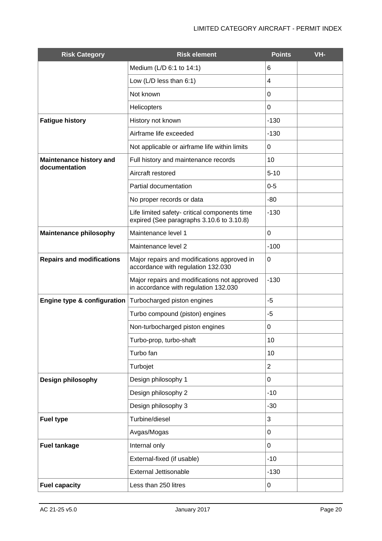| <b>Risk Category</b>                            | <b>Risk element</b>                                                                        | <b>Points</b>  | VH- |
|-------------------------------------------------|--------------------------------------------------------------------------------------------|----------------|-----|
|                                                 | Medium (L/D 6:1 to 14:1)                                                                   | 6              |     |
|                                                 | Low (L/D less than 6:1)                                                                    | 4              |     |
|                                                 | Not known                                                                                  | $\mathbf 0$    |     |
|                                                 | Helicopters                                                                                | 0              |     |
| <b>Fatigue history</b>                          | History not known                                                                          | $-130$         |     |
|                                                 | Airframe life exceeded                                                                     | $-130$         |     |
|                                                 | Not applicable or airframe life within limits                                              | $\mathbf 0$    |     |
| <b>Maintenance history and</b><br>documentation | Full history and maintenance records                                                       | 10             |     |
|                                                 | Aircraft restored                                                                          | $5 - 10$       |     |
|                                                 | Partial documentation                                                                      | $0 - 5$        |     |
|                                                 | No proper records or data                                                                  | $-80$          |     |
|                                                 | Life limited safety- critical components time<br>expired (See paragraphs 3.10.6 to 3.10.8) | $-130$         |     |
| <b>Maintenance philosophy</b>                   | Maintenance level 1                                                                        | $\mathbf 0$    |     |
|                                                 | Maintenance level 2                                                                        | $-100$         |     |
| <b>Repairs and modifications</b>                | Major repairs and modifications approved in<br>accordance with regulation 132.030          | $\mathbf 0$    |     |
|                                                 | Major repairs and modifications not approved<br>in accordance with regulation 132.030      | $-130$         |     |
| Engine type & configuration                     | Turbocharged piston engines                                                                | $-5$           |     |
|                                                 | Turbo compound (piston) engines                                                            | $-5$           |     |
|                                                 | Non-turbocharged piston engines                                                            | 0              |     |
|                                                 | Turbo-prop, turbo-shaft                                                                    | 10             |     |
|                                                 | Turbo fan                                                                                  | 10             |     |
|                                                 | Turbojet                                                                                   | $\overline{2}$ |     |
| Design philosophy                               | Design philosophy 1                                                                        | 0              |     |
|                                                 | Design philosophy 2                                                                        | $-10$          |     |
|                                                 | Design philosophy 3                                                                        | $-30$          |     |
| <b>Fuel type</b>                                | Turbine/diesel                                                                             | 3              |     |
|                                                 | Avgas/Mogas                                                                                | $\mathbf 0$    |     |
| <b>Fuel tankage</b>                             | Internal only                                                                              | $\mathbf 0$    |     |
|                                                 | External-fixed (if usable)                                                                 | $-10$          |     |
|                                                 | <b>External Jettisonable</b>                                                               | $-130$         |     |
| <b>Fuel capacity</b>                            | Less than 250 litres                                                                       | $\mathbf 0$    |     |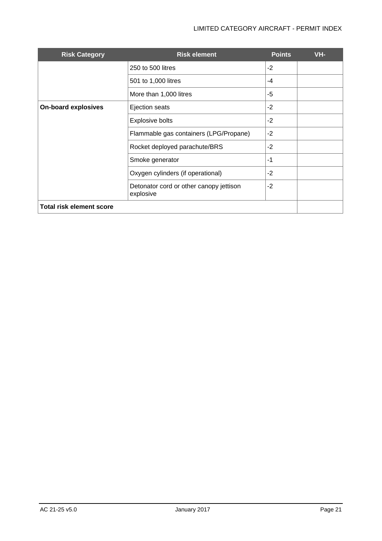#### LIMITED CATEGORY AIRCRAFT - PERMIT INDEX

| <b>Risk Category</b>            | <b>Risk element</b>                                  | <b>Points</b> | VH- |
|---------------------------------|------------------------------------------------------|---------------|-----|
|                                 | 250 to 500 litres                                    | $-2$          |     |
|                                 | 501 to 1,000 litres                                  | -4            |     |
|                                 | More than 1,000 litres                               | -5            |     |
| <b>On-board explosives</b>      | Ejection seats                                       | $-2$          |     |
|                                 | <b>Explosive bolts</b>                               | $-2$          |     |
|                                 | Flammable gas containers (LPG/Propane)               | $-2$          |     |
|                                 | Rocket deployed parachute/BRS                        | $-2$          |     |
|                                 | Smoke generator                                      | -1            |     |
|                                 | Oxygen cylinders (if operational)                    | $-2$          |     |
|                                 | Detonator cord or other canopy jettison<br>explosive | $-2$          |     |
| <b>Total risk element score</b> |                                                      |               |     |